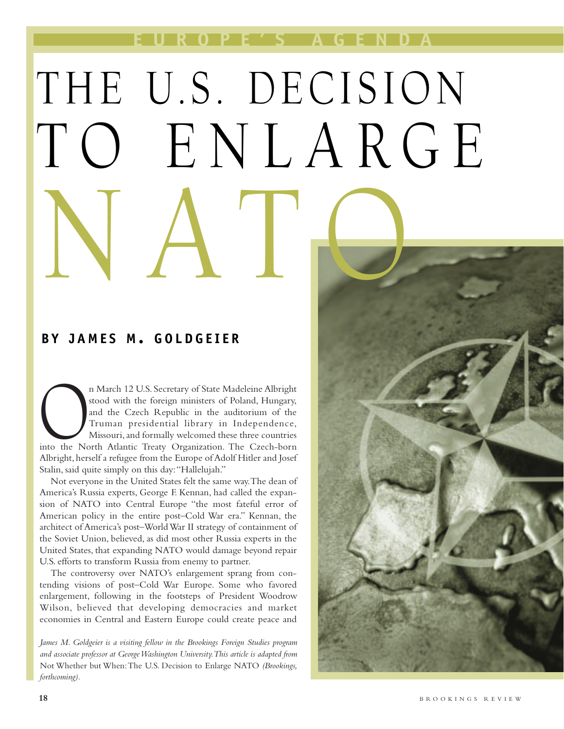**EUROPE'S AGENDA**

# THE U.S. DECISION TO ENLARGE NATO

# **BY JAMES M . GOLDGEIER**

n March 12 U.S. Secretary of State Madeleine Albright<br>stood with the foreign ministers of Poland, Hungary,<br>and the Czech-Republic in the auditorium of the<br>Truman presidential library in Independence,<br>Missouri, and formally stood with the foreign ministers of Poland, Hungary, and the Czech Republic in the auditorium of the Truman presidential library in Independence, Missouri, and formally welcomed these three countries Albright, herself a refugee from the Europe of Adolf Hitler and Josef Stalin, said quite simply on this day:"Hallelujah."

Not everyone in the United States felt the same way.The dean of America's Russia experts, George F. Kennan, had called the expansion of NATO into Central Europe "the most fateful error of American policy in the entire post–Cold War era." Kennan, the architect of America's post–World War II strategy of containment of the Soviet Union, believed, as did most other Russia experts in the United States, that expanding NATO would damage beyond repair U.S. efforts to transform Russia from enemy to partner.

The controversy over NATO's enlargement sprang from contending visions of post–Cold War Europe. Some who favored enlargement, following in the footsteps of President Woodrow Wilson, believed that developing democracies and market economies in Central and Eastern Europe could create peace and

*James M. Goldgeier is a visiting fellow in the Brookings Foreign Studies program and associate professor at George Washington University.This article is adapted from* Not Whether but When:The U.S. Decision to Enlarge NATO *(Brookings, forthcoming).*

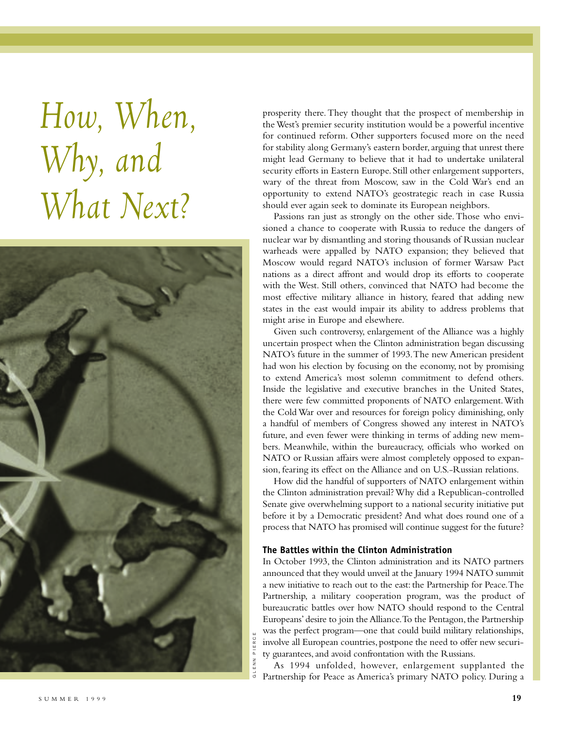*How, When, Why, and What Next?*



prosperity there. They thought that the prospect of membership in the West's premier security institution would be a powerful incentive for continued reform. Other supporters focused more on the need for stability along Germany's eastern border, arguing that unrest there might lead Germany to believe that it had to undertake unilateral security efforts in Eastern Europe. Still other enlargement supporters, wary of the threat from Moscow, saw in the Cold War's end an opportunity to extend NATO's geostrategic reach in case Russia should ever again seek to dominate its European neighbors.

Passions ran just as strongly on the other side. Those who envisioned a chance to cooperate with Russia to reduce the dangers of nuclear war by dismantling and storing thousands of Russian nuclear warheads were appalled by NATO expansion; they believed that Moscow would regard NATO's inclusion of former Warsaw Pact nations as a direct affront and would drop its efforts to cooperate with the West. Still others, convinced that NATO had become the most effective military alliance in history, feared that adding new states in the east would impair its ability to address problems that might arise in Europe and elsewhere.

Given such controversy, enlargement of the Alliance was a highly uncertain prospect when the Clinton administration began discussing NATO's future in the summer of 1993.The new American president had won his election by focusing on the economy, not by promising to extend America's most solemn commitment to defend others. Inside the legislative and executive branches in the United States, there were few committed proponents of NATO enlargement.With the Cold War over and resources for foreign policy diminishing, only a handful of members of Congress showed any interest in NATO's future, and even fewer were thinking in terms of adding new members. Meanwhile, within the bureaucracy, officials who worked on NATO or Russian affairs were almost completely opposed to expansion, fearing its effect on the Alliance and on U.S.-Russian relations.

How did the handful of supporters of NATO enlargement within the Clinton administration prevail? Why did a Republican-controlled Senate give overwhelming support to a national security initiative put before it by a Democratic president? And what does round one of a process that NATO has promised will continue suggest for the future?

## **The Battles within the Clinton Administration**

In October 1993, the Clinton administration and its NATO partners announced that they would unveil at the January 1994 NATO summit a new initiative to reach out to the east: the Partnership for Peace.The Partnership, a military cooperation program, was the product of bureaucratic battles over how NATO should respond to the Central Europeans' desire to join the Alliance.To the Pentagon, the Partnership was the perfect program—one that could build military relationships, involve all European countries, postpone the need to offer new security guarantees, and avoid confrontation with the Russians.

As 1994 unfolded, however, enlargement supplanted the Partnership for Peace as America's primary NATO policy. During a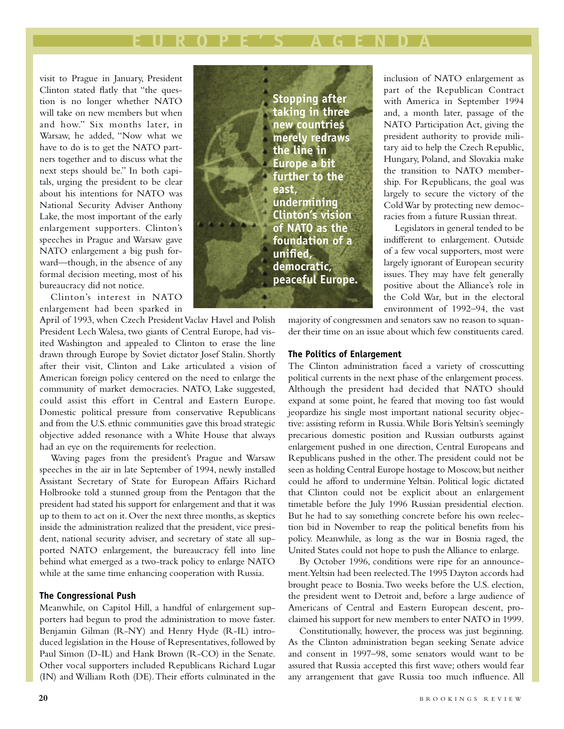# **EUROPE'S AGENDA**

visit to Prague in January, President Clinton stated flatly that "the question is no longer whether NATO will take on new members but when and how." Six months later, in Warsaw, he added, "Now what we have to do is to get the NATO partners together and to discuss what the next steps should be." In both capitals, urging the president to be clear about his intentions for NATO was National Security Adviser Anthony Lake, the most important of the early enlargement supporters. Clinton's speeches in Prague and Warsaw gave NATO enlargement a big push forward—though, in the absence of any formal decision meeting, most of his bureaucracy did not notice.

Clinton's interest in NATO enlargement had been sparked in

April of 1993, when Czech President Vaclav Havel and Polish President Lech Walesa, two giants of Central Europe, had visited Washington and appealed to Clinton to erase the line drawn through Europe by Soviet dictator Josef Stalin. Shortly after their visit, Clinton and Lake articulated a vision of American foreign policy centered on the need to enlarge the community of market democracies. NATO, Lake suggested, could assist this effort in Central and Eastern Europe. Domestic political pressure from conservative Republicans and from the U.S. ethnic communities gave this broad strategic objective added resonance with a White House that always had an eye on the requirements for reelection.

Waving pages from the president's Prague and Warsaw speeches in the air in late September of 1994, newly installed Assistant Secretary of State for European Affairs Richard Holbrooke told a stunned group from the Pentagon that the president had stated his support for enlargement and that it was up to them to act on it. Over the next three months, as skeptics inside the administration realized that the president, vice president, national security adviser, and secretary of state all supported NATO enlargement, the bureaucracy fell into line behind what emerged as a two-track policy to enlarge NATO while at the same time enhancing cooperation with Russia.

## **The Congressional Push**

Meanwhile, on Capitol Hill, a handful of enlargement supporters had begun to prod the administration to move faster. Benjamin Gilman (R-NY) and Henry Hyde (R-IL) introduced legislation in the House of Representatives, followed by Paul Simon (D-IL) and Hank Brown (R-CO) in the Senate. Other vocal supporters included Republicans Richard Lugar (IN) and William Roth (DE).Their efforts culminated in the



inclusion of NATO enlargement as part of the Republican Contract with America in September 1994 and, a month later, passage of the NATO Participation Act, giving the president authority to provide military aid to help the Czech Republic, Hungary, Poland, and Slovakia make the transition to NATO membership. For Republicans, the goal was largely to secure the victory of the Cold War by protecting new democracies from a future Russian threat.

Legislators in general tended to be indifferent to enlargement. Outside of a few vocal supporters, most were largely ignorant of European security issues. They may have felt generally positive about the Alliance's role in the Cold War, but in the electoral environment of 1992–94, the vast

majority of congressmen and senators saw no reason to squander their time on an issue about which few constituents cared.

## **The Politics of Enlargement**

The Clinton administration faced a variety of crosscutting political currents in the next phase of the enlargement process. Although the president had decided that NATO should expand at some point, he feared that moving too fast would jeopardize his single most important national security objective: assisting reform in Russia.While Boris Yeltsin's seemingly precarious domestic position and Russian outbursts against enlargement pushed in one direction, Central Europeans and Republicans pushed in the other.The president could not be seen as holding Central Europe hostage to Moscow, but neither could he afford to undermine Yeltsin. Political logic dictated that Clinton could not be explicit about an enlargement timetable before the July 1996 Russian presidential election. But he had to say something concrete before his own reelection bid in November to reap the political benefits from his policy. Meanwhile, as long as the war in Bosnia raged, the United States could not hope to push the Alliance to enlarge.

By October 1996, conditions were ripe for an announcement.Yeltsin had been reelected.The 1995 Dayton accords had brought peace to Bosnia.Two weeks before the U.S. election, the president went to Detroit and, before a large audience of Americans of Central and Eastern European descent, proclaimed his support for new members to enter NATO in 1999.

Constitutionally, however, the process was just beginning. As the Clinton administration began seeking Senate advice and consent in 1997–98, some senators would want to be assured that Russia accepted this first wave; others would fear any arrangement that gave Russia too much influence. All